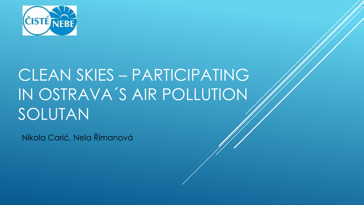

# CLEAN SKIES – PARTICIPATING IN OSTRAVA´S AIR POLLUTION SOLUTAN

Nikola Carić, Nela Římanová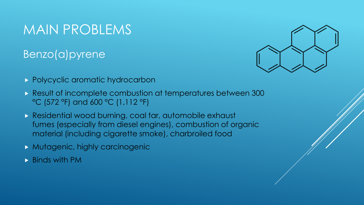### MAIN PROBLEMS

#### Benzo(a)pyrene



- **Polycyclic aromatic hydrocarbon**
- Result of incomplete combustion at temperatures between 300 °C (572 °F) and 600 °C (1,112 °F)
- Residential wood burning, coal tar, automobile exhaust fumes (especially from diesel engines), combustion of organic material (including cigarette smoke), charbroiled food
- **Mutagenic, highly carcinogenic**
- Binds with PM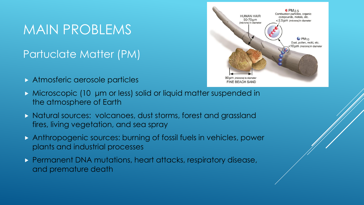### MAIN PROBLEMS

#### Partuclate Matter (PM)

Atmosferic aerosole particles



- Microscopic (10 μm or less) solid or liquid matter suspended in the atmosphere of Earth
- Natural sources: volcanoes, dust storms, forest and grassland fires, living vegetation, and sea spray
- Anthropogenic sources: burning of fossil fuels in vehicles, power plants and industrial processes
- **Permanent DNA mutations, heart attacks, respiratory disease,** and premature death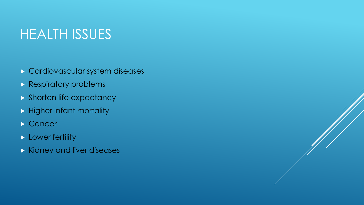## HEALTH ISSUES

- Cardiovascular system diseases
- **Respiratory problems**
- **Shorten life expectancy**
- $\blacktriangleright$  Higher infant mortality
- Cancer<sup>1</sup>
- **Lower fertility**
- Kidney and liver diseases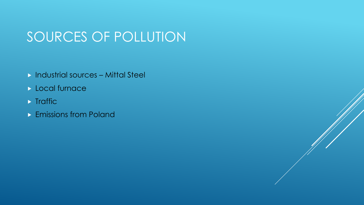# SOURCES OF POLLUTION

- Industrial sources Mittal Steel
- **Local furnace**
- $\blacktriangleright$  Traffic
- **Emissions from Poland**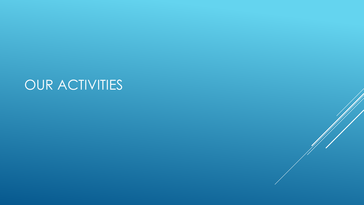# OUR ACTIVITIES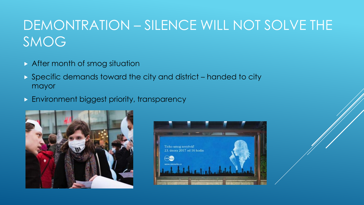# DEMONTRATION – SILENCE WILL NOT SOLVE THE SMOG

- After month of smog situation
- Specific demands toward the city and district handed to city mayor
- **Environment biggest priority, transparency**



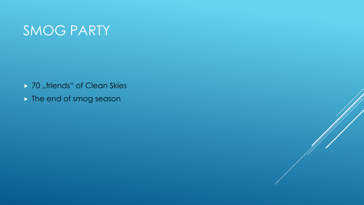## SMOG PARTY

- ▶ 70 "friends" of Clean Skies
- **The end of smog season**

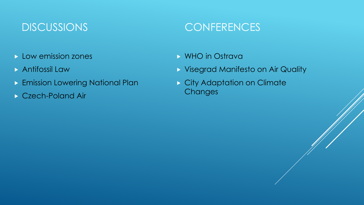#### DISCUSSIONS

- $\triangleright$  Low emission zones
- **Antifossil Law**
- **Emission Lowering National Plan**
- ▶ Czech-Poland Air

#### **CONFERENCES**

- WHO in Ostrava
- Visegrad Manifesto on Air Quality
- **City Adaptation on Climate Changes**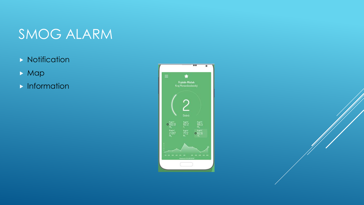# SMOG ALARM

- $\triangleright$  Notification
- **Map**
- **Information**